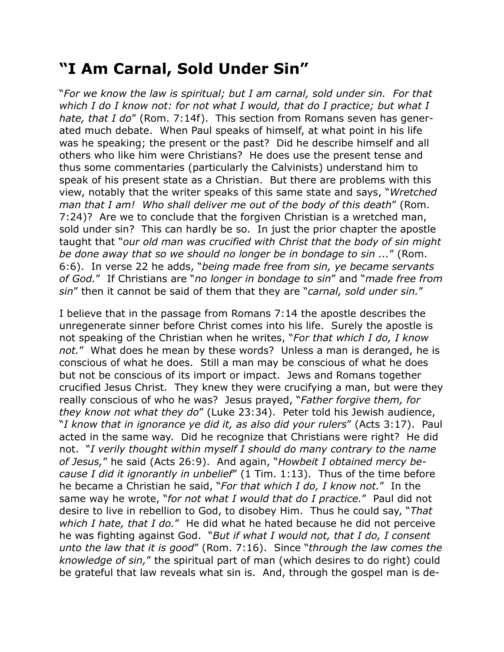## **"I Am Carnal, Sold Under Sin"**

"*For we know the law is spiritual; but I am carnal, sold under sin. For that which I do I know not: for not what I would, that do I practice; but what I hate, that I do*" (Rom. 7:14f). This section from Romans seven has generated much debate. When Paul speaks of himself, at what point in his life was he speaking; the present or the past? Did he describe himself and all others who like him were Christians? He does use the present tense and thus some commentaries (particularly the Calvinists) understand him to speak of his present state as a Christian. But there are problems with this view, notably that the writer speaks of this same state and says, "*Wretched man that I am! Who shall deliver me out of the body of this death*" (Rom. 7:24)? Are we to conclude that the forgiven Christian is a wretched man, sold under sin? This can hardly be so. In just the prior chapter the apostle taught that "*our old man was crucified with Christ that the body of sin might be done away that so we should no longer be in bondage to sin ...*" (Rom. 6:6). In verse 22 he adds, "*being made free from sin, ye became servants of God.*" If Christians are "*no longer in bondage to sin*" and "*made free from sin*" then it cannot be said of them that they are "*carnal, sold under sin.*"

I believe that in the passage from Romans 7:14 the apostle describes the unregenerate sinner before Christ comes into his life. Surely the apostle is not speaking of the Christian when he writes, "*For that which I do, I know not.*" What does he mean by these words? Unless a man is deranged, he is conscious of what he does. Still a man may be conscious of what he does but not be conscious of its import or impact. Jews and Romans together crucified Jesus Christ. They knew they were crucifying a man, but were they really conscious of who he was? Jesus prayed, "*Father forgive them, for they know not what they do*" (Luke 23:34). Peter told his Jewish audience, "*I know that in ignorance ye did it, as also did your rulers*" (Acts 3:17). Paul acted in the same way. Did he recognize that Christians were right? He did not. "*I verily thought within myself I should do many contrary to the name of Jesus,*" he said (Acts 26:9). And again, "*Howbeit I obtained mercy because I did it ignorantly in unbelief*" (1 Tim. 1:13). Thus of the time before he became a Christian he said, "*For that which I do, I know not.*" In the same way he wrote, "*for not what I would that do I practice.*" Paul did not desire to live in rebellion to God, to disobey Him. Thus he could say, "*That which I hate, that I do.*" He did what he hated because he did not perceive he was fighting against God. "*But if what I would not, that I do, I consent unto the law that it is good*" (Rom. 7:16). Since "*through the law comes the knowledge of sin,*" the spiritual part of man (which desires to do right) could be grateful that law reveals what sin is. And, through the gospel man is de